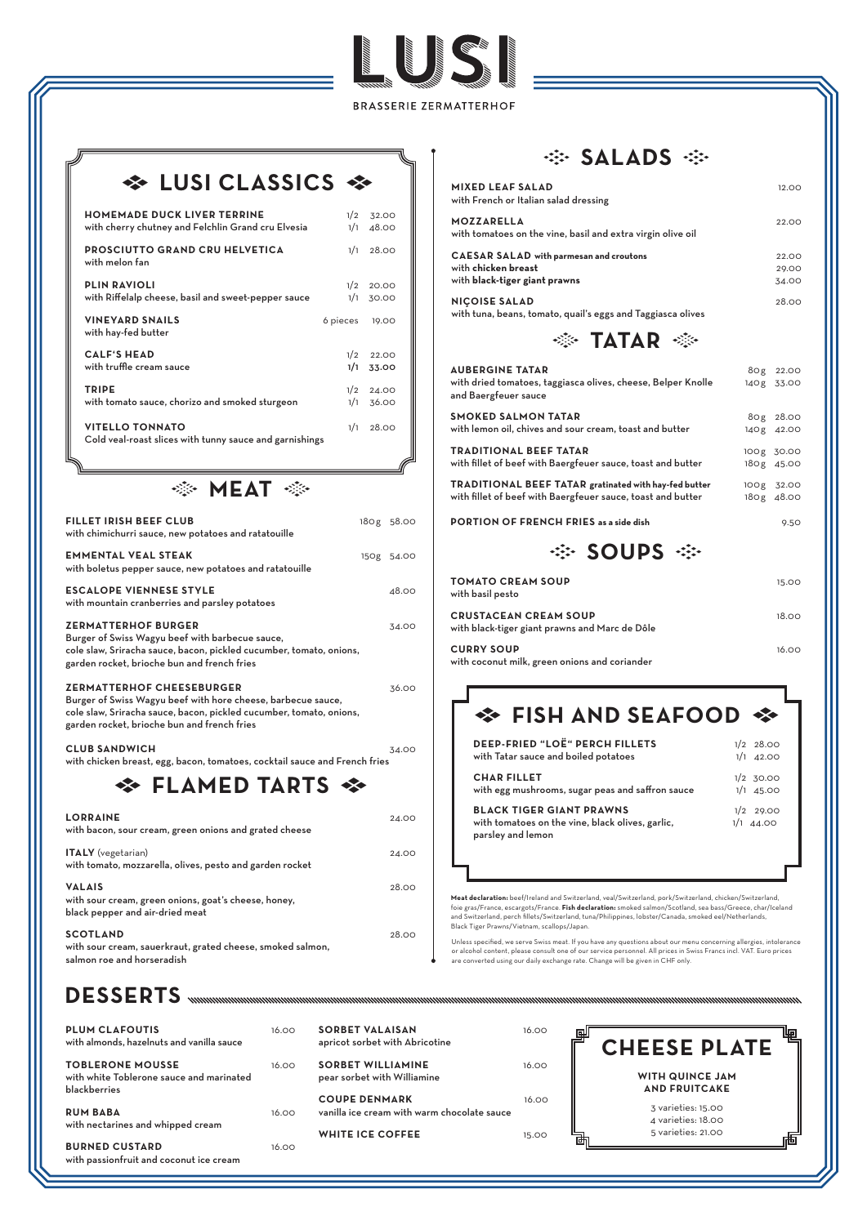**BRASSERIE ZERMATTERHOF** 

**SALES SERVICE SERVICE SERVICE SERVICE SERVICE SERVICE SERVICE SERVICE SERVICE SERVICE SERVICE SERVICE SERVICE** 

# $\Leftrightarrow$  **LUSI CLASSICS**  $\Leftrightarrow$

**PLUM CLAFOUTIS** 16.00 **SORBET VALAISAN** 16.00 帼 囤 **CHEESE PLATE**  with almonds, hazelnuts and vanilla sauce apricot sorbet with Abricotine **SORBET WILLIAMINE** 16.00 **TOBLERONE MOUSSE** 16.00 **WITH QUINCE JAM**  with white Toblerone sauce and marinated pear sorbet with Williamine blackberries **AND FRUITCAKE COUPE DENMARK** 16.00 3 varieties: 15.00 **RUM BABA** 16.00 vanilla ice cream with warm chocolate sauce 4 varieties: 18.00 with nectarines and whipped cream 5 varieties: 21.00 **WHITE ICE COFFEE** 15.00 **BURNED CUSTARD** 16.00 with passionfruit and coconut ice cream

**TRADITIONAL BEEF TATAR gratinated with hay-fed butter** 100g 32.00 with fillet of beef with Baergfeuer sauce, toast and butter 180g 48.00

**PORTION OF FRENCH FRIES as a side dish** 9.50

·※ SOUPS ※

| <b>FILLET IRISH BEEF CLUB</b><br>with chimichurri sauce, new potatoes and ratatouille                                                                                                                                  | 180g 58.00 |
|------------------------------------------------------------------------------------------------------------------------------------------------------------------------------------------------------------------------|------------|
| <b>EMMENTAL VEAL STEAK</b><br>with boletus pepper sauce, new potatoes and ratatouille                                                                                                                                  | 150g 54.00 |
| <b>ESCALOPE VIENNESE STYLE</b><br>with mountain cranberries and parsley potatoes                                                                                                                                       | 48.00      |
| <b>ZERMATTERHOF BURGER</b><br>Burger of Swiss Wagyu beef with barbecue sauce,<br>cole slaw, Sriracha sauce, bacon, pickled cucumber, tomato, onions,<br>garden rocket, brioche bun and french fries                    | 34.00      |
| <b>ZERMATTERHOF CHEESEBURGER</b><br>Burger of Swiss Wagyu beef with hore cheese, barbecue sauce,<br>cole slaw, Sriracha sauce, bacon, pickled cucumber, tomato, onions,<br>garden rocket, brioche bun and french fries | 36.00      |
| <b>CLUB SANDWICH</b><br>with chicken breast, egg, bacon, tomatoes, cocktail sauce and French fries                                                                                                                     | 34.00      |
|                                                                                                                                                                                                                        |            |
| <b>LORRAINE</b><br>with bacon, sour cream, green onions and grated cheese                                                                                                                                              | 24.00      |

| <b>HOMEMADE DUCK LIVER TERRINE</b>                                                | 1/2      | 32.00 |
|-----------------------------------------------------------------------------------|----------|-------|
| with cherry chutney and Felchlin Grand cru Elvesia                                | 1/1      | 48.00 |
| <b>PROSCIUTTO GRAND CRU HELVETICA</b><br>with melon fan                           | 1/1      | 28.00 |
| <b>PLIN RAVIOLI</b>                                                               | 1/2      | 20.00 |
| with Riffelalp cheese, basil and sweet-pepper sauce                               | 1/1      | 30.00 |
| <b>VINEYARD SNAILS</b><br>with hay-fed butter                                     | 6 pieces | 19.00 |
| <b>CALF'S HEAD</b>                                                                | 1/2      | 22.00 |
| with truffle cream sauce                                                          | 1/1      | 33.00 |
| <b>TRIPE</b>                                                                      | 1/2      | 24.00 |
| with tomato sauce, chorizo and smoked sturgeon                                    | 1/1      | 36.00 |
| <b>VITELLO TONNATO</b><br>Cold veal-roast slices with tunny sauce and garnishings | 1/1      | 28.00 |

参 MEAT ※

| <b>MIXED LEAF SALAD</b><br>with French or Italian salad dressing                                               | 12.00                    |
|----------------------------------------------------------------------------------------------------------------|--------------------------|
| <b>MOZZARELLA</b><br>with tomatoes on the vine, basil and extra virgin olive oil                               | 22.00                    |
| <b>CAESAR SALAD</b> with parmesan and croutons<br>with chicken breast<br>with black-tiger giant prawns         | 22.00<br>29.00<br>34.00  |
| <b>NIÇOISE SALAD</b><br>with tuna, beans, tomato, quail's eggs and Taggiasca olives                            | 28.00                    |
| $\ddot{\otimes}$ TATAR $\ddot{\otimes}$                                                                        |                          |
| <b>AUBERGINE TATAR</b><br>with dried tomatoes, taggiasca olives, cheese, Belper Knolle<br>and Baergfeuer sauce | 80g 22.00<br>140g 33.00  |
| <b>SMOKED SALMON TATAR</b><br>with lemon oil, chives and sour cream, toast and butter                          | 80g 28.00<br>140g 42.00  |
| <b>TRADITIONAL BEEF TATAR</b><br>with fillet of beef with Baergfeuer sauce, toast and butter                   | 100g 30.00<br>180g 45.00 |
| TRADITIONAL REEE TATAR gratinated with hav-fed butter                                                          | $1000 \times 3200$       |

**ITALY** (vegetarian) 24.00 with tomato, mozzarella, olives, pesto and garden rocket

**VALAIS** 28.00 with sour cream, green onions, goat's cheese, honey, black pepper and air-dried meat

### ·※ **SALADS** ※

#### **SCOTLAND** 28.00

with sour cream, sauerkraut, grated cheese, smoked salmon, salmon roe and horseradish

| <b>TOMATO CREAM SOUP</b><br>with basil pesto                                   | 15.00 |
|--------------------------------------------------------------------------------|-------|
| <b>CRUSTACEAN CREAM SOUP</b><br>with black-tiger giant prawns and Marc de Dôle | 18.00 |
| <b>CURRY SOUP</b><br>المواصول والمستحدث والمستحدث والمستحدث والمستقصد والمنافس | 16.00 |

with coconut milk, green onions and coriander

# **EISH AND SEAFOOD ↔**

**Meat declaration:** beef/Ireland and Switzerland, veal/Switzerland, pork/Switzerland, chicken/Switzerland, foie gras/France, escargots/France. **Fish declaration:** smoked salmon/Scotland, sea bass/Greece, char/Iceland and Switzerland, perch fillets/Switzerland, tuna/Philippines, lobster/Canada, smoked eel/Netherlands,

Black Tiger Prawns/Vietnam, scallops/Japan.

Unless specified, we serve Swiss meat. If you have any questions about our menu concerning allergies, intolerance or alcohol content, please consult one of our service personnel. All prices in Swiss Francs incl. VAT. Euro prices are converted using our daily exchange rate. Change will be given in CHF only.

## **DESSERTS**

| <b>DEEP-FRIED "LOË" PERCH FILLETS</b>                                                                    | $1/2$ 28.00                |
|----------------------------------------------------------------------------------------------------------|----------------------------|
| with Tatar sauce and boiled potatoes                                                                     | $1/1$ 42.00                |
| <b>CHAR FILLET</b>                                                                                       | $1/2$ 30.00                |
| with egg mushrooms, sugar peas and saffron sauce                                                         | $1/1$ 45.00                |
| <b>BLACK TIGER GIANT PRAWNS</b><br>with tomatoes on the vine, black olives, garlic,<br>parsley and lemon | $1/2$ 29.00<br>$1/1$ 44.00 |